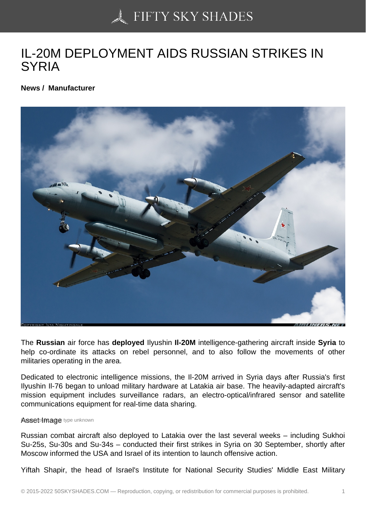## [IL-20M DEPLOYMENT](https://50skyshades.com) AIDS RUSSIAN STRIKES IN **SYRIA**

News / Manufacturer

The Russian air force has deployed Ilyushin Il-20M intelligence-gathering aircraft inside Syria to help co-ordinate its attacks on rebel personnel, and to also follow the movements of other militaries operating in the area.

Dedicated to electronic intelligence missions, the Il-20M arrived in Syria days after Russia's first Ilyushin Il-76 began to unload military hardware at Latakia air base. The heavily-adapted aircraft's mission equipment includes surveillance radars, an electro-optical/infrared sensor and satellite communications equipment for real-time data sharing.

Asset Image type unknown

Russian combat aircraft also deployed to Latakia over the last several weeks – including Sukhoi Su-25s, Su-30s and Su-34s – conducted their first strikes in Syria on 30 September, shortly after Moscow informed the USA and Israel of its intention to launch offensive action.

Yiftah Shapir, the head of Israel's Institute for National Security Studies' Middle East Military